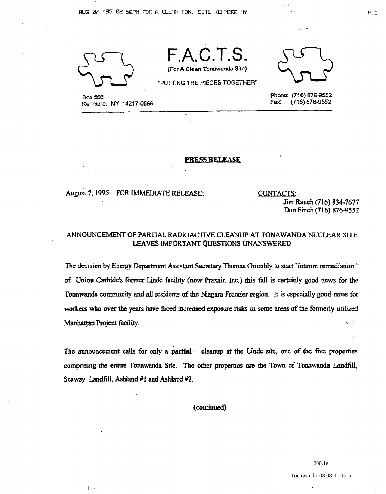

I'

Box 566 Kenmore, NY 14217-0566



Phone: (716) 876-9552<br>Fax: (716) 876-9552 Fax: (716) 876-9552

## PRESS RELEASE

F.A.C.T.S.

(FOr A Clean Tonawanda Sits)

"PUTTING THE PIECES TOGETHER"

## August 7, 1995: FOR IMMEDIATE RELEASE:

CONTACTS;

Jim Rauch (116) 834-1671 Don Finch (116) 876·9552

## ANNOUNCEMENT OF PARTIAL RADIOACTIVE CLEANUP AT TONAWANDA NUCLEAR SITE LEAVES IMPORTANT QUESTIONS UNANSWERED

'The decision by Energy Department Assistant Secretary Thomas Grumbly to start "interim remediation" of Union Carbide's former Linde facility (now Praxair, Inc.) this fall is certainly good news for the Tonawanda community and all residents of the Niagara Frontier region. It is especially good news for workers who over the years have faced increased exposure risks in some areas of the fonnerly utilized Manhattan Project facility.

The announcement calls for only a **partial** cleanup at the Linde site, one of the five properties comprising the entire Tonawanda Site. The other properties are the Town of Tonawanda Landfill, Seaway Landfill, Ashland  $#1$  and Ashland  $#2$ .

( continued)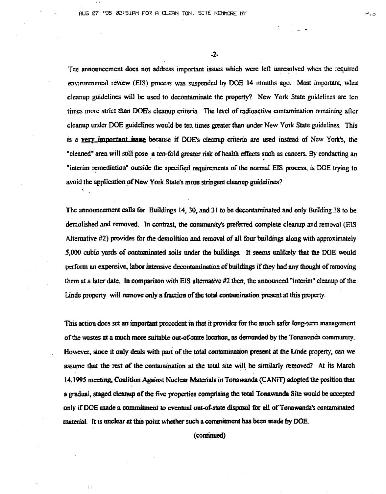-2-

The announcement does not address important issues which were left unresolved when the required environmental review (EIS) process was suspended by DOE 14 months ago. Most important, what cleanup guidelines will be used to decontaminate the property? New York State guidelines are ten times more strict than DOE's cleanup criteria. The level of radioactive contamination remaining after cleanup under DOE guidelines would be ten times greater than under New York State guidelines. This is a very important issue because if DOE's cleanup criteria are used instead of New York's, the "cleaned" area will still pose a ten-fold greater risk of health effects such as cancers. By conducting an "interim remediation" outside the specified requirements of the normal EIS process, is DOE trying to avoid the application of New York State's more stringent cleanup guidelines?

The announcement calls for Buildings 14,30. and 31 to be decontaminated and only Building 38 to be demolished and removed. Tn contrast, the community's preferred complete cleanup and removal (ElS Alternative #2) provides for the demolition and removal of all four bwldings along with approximately 5,000 cubic yards of contaminated soils under the buildings. It seems unlikely that the DOE would perform an expensive, labor intensive decontamination of buildings if they had any thought of removing them at a later date. In comparison with EIS alternative  $#2$  then, the announced "interim" cleanup of the Linde property will remove only a fraction of the total contamination present at this property.

This action does set an important precedent in that it provides for the much safer long-term management of the wastes at a much more suitable out-of-state location, as demanded by the Tonawanda community. However. since it only deals with part of the total contamination present at the Unde property. can we assume that the rest of the contamination at the total site will be similarly removed? At its March 14,1995 meeting. Coalition Against Nuclear Materials in Tonawanda (CANiT) adopted the position that a gradual, staged cleanup of the five properties comprising the total Tonawanda Site would be accepted only if DOE made a commitment to eventual out-of-state disposal for all of Tonawanda's contaminated material. It is unclear at this point whether such a commitment bas been made by DOE.

(continued)

 $\lceil$